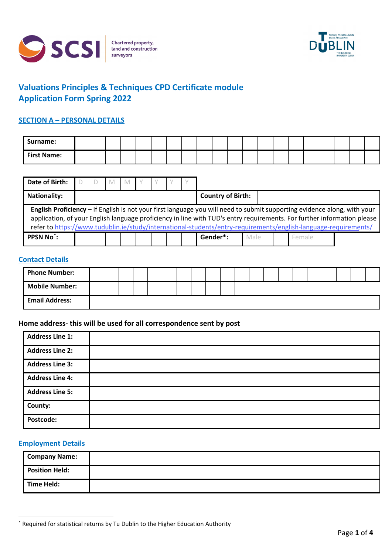



# **Valuations Principles & Techniques CPD Certificate module Application Form Spring 2022**

## **SECTION A – PERSONAL DETAILS**

| Surname:           |  |  |  |  |  |  |  |  |  |  |
|--------------------|--|--|--|--|--|--|--|--|--|--|
| <b>First Name:</b> |  |  |  |  |  |  |  |  |  |  |

| Date of Birth:         |  | - M |  |  |                                                                                                                                                                                                                                                                                                                                                                        |      |        |  |
|------------------------|--|-----|--|--|------------------------------------------------------------------------------------------------------------------------------------------------------------------------------------------------------------------------------------------------------------------------------------------------------------------------------------------------------------------------|------|--------|--|
| <b>Nationality:</b>    |  |     |  |  | <b>Country of Birth:</b>                                                                                                                                                                                                                                                                                                                                               |      |        |  |
|                        |  |     |  |  | English Proficiency - If English is not your first language you will need to submit supporting evidence along, with your<br>application, of your English language proficiency in line with TUD's entry requirements. For further information please<br>refer to https://www.tudublin.ie/study/international-students/entry-requirements/english-language-requirements/ |      |        |  |
| PPSN No <sup>*</sup> : |  |     |  |  | Gender*:                                                                                                                                                                                                                                                                                                                                                               | Male | Female |  |

### **Contact Details**

| <b>Phone Number:</b>  |  |  |  |  |  |  |  |  |  |  |
|-----------------------|--|--|--|--|--|--|--|--|--|--|
| <b>Mobile Number:</b> |  |  |  |  |  |  |  |  |  |  |
| <b>Email Address:</b> |  |  |  |  |  |  |  |  |  |  |

## **Home address- this will be used for all correspondence sent by post**

| <b>Address Line 1:</b> |  |
|------------------------|--|
| <b>Address Line 2:</b> |  |
| <b>Address Line 3:</b> |  |
| <b>Address Line 4:</b> |  |
| <b>Address Line 5:</b> |  |
| County:                |  |
| Postcode:              |  |

## **Employment Details**

| <b>Company Name:</b>  |  |
|-----------------------|--|
| <b>Position Held:</b> |  |
| Time Held:            |  |

<span id="page-0-0"></span><sup>\*</sup> Required for statistical returns by Tu Dublin to the Higher Education Authority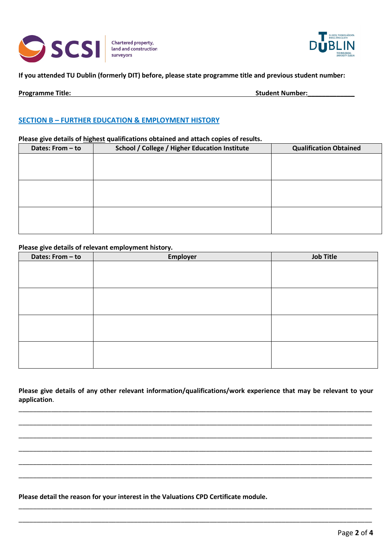



## **If you attended TU Dublin (formerly DIT) before, please state programme title and previous student number:**

| <b>Programme Title:</b><br><b>Student Number:</b> |
|---------------------------------------------------|
|---------------------------------------------------|

## **SECTION B – FURTHER EDUCATION & EMPLOYMENT HISTORY**

#### **Please give details of highest qualifications obtained and attach copies of results.**

| Dates: From - to | School / College / Higher Education Institute | <b>Qualification Obtained</b> |
|------------------|-----------------------------------------------|-------------------------------|
|                  |                                               |                               |
|                  |                                               |                               |
|                  |                                               |                               |
|                  |                                               |                               |
|                  |                                               |                               |
|                  |                                               |                               |
|                  |                                               |                               |
|                  |                                               |                               |

#### **Please give details of relevant employment history.**

| Dates: From - to | <b>Employer</b> | <b>Job Title</b> |
|------------------|-----------------|------------------|
|                  |                 |                  |
|                  |                 |                  |
|                  |                 |                  |
|                  |                 |                  |
|                  |                 |                  |
|                  |                 |                  |
|                  |                 |                  |
|                  |                 |                  |
|                  |                 |                  |
|                  |                 |                  |
|                  |                 |                  |
|                  |                 |                  |

**Please give details of any other relevant information/qualifications/work experience that may be relevant to your application**.

\_\_\_\_\_\_\_\_\_\_\_\_\_\_\_\_\_\_\_\_\_\_\_\_\_\_\_\_\_\_\_\_\_\_\_\_\_\_\_\_\_\_\_\_\_\_\_\_\_\_\_\_\_\_\_\_\_\_\_\_\_\_\_\_\_\_\_\_\_\_\_\_\_\_\_\_\_\_\_\_\_\_\_\_\_\_\_\_\_\_\_\_\_\_\_\_\_\_

\_\_\_\_\_\_\_\_\_\_\_\_\_\_\_\_\_\_\_\_\_\_\_\_\_\_\_\_\_\_\_\_\_\_\_\_\_\_\_\_\_\_\_\_\_\_\_\_\_\_\_\_\_\_\_\_\_\_\_\_\_\_\_\_\_\_\_\_\_\_\_\_\_\_\_\_\_\_\_\_\_\_\_\_\_\_\_\_\_\_\_\_\_\_\_\_\_\_

\_\_\_\_\_\_\_\_\_\_\_\_\_\_\_\_\_\_\_\_\_\_\_\_\_\_\_\_\_\_\_\_\_\_\_\_\_\_\_\_\_\_\_\_\_\_\_\_\_\_\_\_\_\_\_\_\_\_\_\_\_\_\_\_\_\_\_\_\_\_\_\_\_\_\_\_\_\_\_\_\_\_\_\_\_\_\_\_\_\_\_\_\_\_\_\_\_\_

\_\_\_\_\_\_\_\_\_\_\_\_\_\_\_\_\_\_\_\_\_\_\_\_\_\_\_\_\_\_\_\_\_\_\_\_\_\_\_\_\_\_\_\_\_\_\_\_\_\_\_\_\_\_\_\_\_\_\_\_\_\_\_\_\_\_\_\_\_\_\_\_\_\_\_\_\_\_\_\_\_\_\_\_\_\_\_\_\_\_\_\_\_\_\_\_\_\_

\_\_\_\_\_\_\_\_\_\_\_\_\_\_\_\_\_\_\_\_\_\_\_\_\_\_\_\_\_\_\_\_\_\_\_\_\_\_\_\_\_\_\_\_\_\_\_\_\_\_\_\_\_\_\_\_\_\_\_\_\_\_\_\_\_\_\_\_\_\_\_\_\_\_\_\_\_\_\_\_\_\_\_\_\_\_\_\_\_\_\_\_\_\_\_\_\_\_

\_\_\_\_\_\_\_\_\_\_\_\_\_\_\_\_\_\_\_\_\_\_\_\_\_\_\_\_\_\_\_\_\_\_\_\_\_\_\_\_\_\_\_\_\_\_\_\_\_\_\_\_\_\_\_\_\_\_\_\_\_\_\_\_\_\_\_\_\_\_\_\_\_\_\_\_\_\_\_\_\_\_\_\_\_\_\_\_\_\_\_\_\_\_\_\_\_\_

\_\_\_\_\_\_\_\_\_\_\_\_\_\_\_\_\_\_\_\_\_\_\_\_\_\_\_\_\_\_\_\_\_\_\_\_\_\_\_\_\_\_\_\_\_\_\_\_\_\_\_\_\_\_\_\_\_\_\_\_\_\_\_\_\_\_\_\_\_\_\_\_\_\_\_\_\_\_\_\_\_\_\_\_\_\_\_\_\_\_\_\_\_\_\_\_\_\_

\_\_\_\_\_\_\_\_\_\_\_\_\_\_\_\_\_\_\_\_\_\_\_\_\_\_\_\_\_\_\_\_\_\_\_\_\_\_\_\_\_\_\_\_\_\_\_\_\_\_\_\_\_\_\_\_\_\_\_\_\_\_\_\_\_\_\_\_\_\_\_\_\_\_\_\_\_\_\_\_\_\_\_\_\_\_\_\_\_\_\_\_\_\_\_\_\_\_

**Please detail the reason for your interest in the Valuations CPD Certificate module.**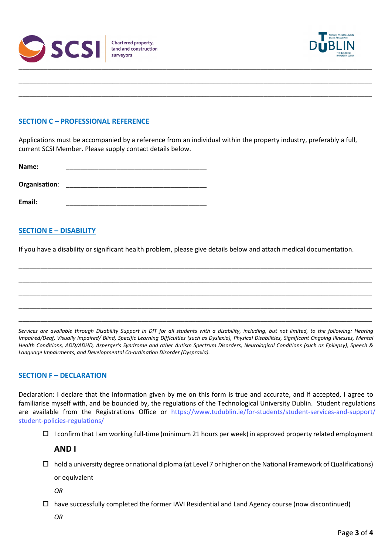



## **SECTION C – PROFESSIONAL REFERENCE**

Applications must be accompanied by a reference from an individual within the property industry, preferably a full, current SCSI Member. Please supply contact details below.

\_\_\_\_\_\_\_\_\_\_\_\_\_\_\_\_\_\_\_\_\_\_\_\_\_\_\_\_\_\_\_\_\_\_\_\_\_\_\_\_\_\_\_\_\_\_\_\_\_\_\_\_\_\_\_\_\_\_\_\_\_\_\_\_\_\_\_\_\_\_\_\_\_\_\_\_\_\_\_\_\_\_\_\_\_\_\_\_\_\_\_\_\_\_\_\_\_\_

\_\_\_\_\_\_\_\_\_\_\_\_\_\_\_\_\_\_\_\_\_\_\_\_\_\_\_\_\_\_\_\_\_\_\_\_\_\_\_\_\_\_\_\_\_\_\_\_\_\_\_\_\_\_\_\_\_\_\_\_\_\_\_\_\_\_\_\_\_\_\_\_\_\_\_\_\_\_\_\_\_\_\_\_\_\_\_\_\_\_\_\_\_\_\_\_\_\_

| Name:         |  |
|---------------|--|
| Organisation: |  |
| Email:        |  |

## **SECTION E – DISABILITY**

If you have a disability or significant health problem, please give details below and attach medical documentation.

\_\_\_\_\_\_\_\_\_\_\_\_\_\_\_\_\_\_\_\_\_\_\_\_\_\_\_\_\_\_\_\_\_\_\_\_\_\_\_\_\_\_\_\_\_\_\_\_\_\_\_\_\_\_\_\_\_\_\_\_\_\_\_\_\_\_\_\_\_\_\_\_\_\_\_\_\_\_\_\_\_\_\_\_\_\_\_\_\_\_\_\_\_\_\_\_\_\_

\_\_\_\_\_\_\_\_\_\_\_\_\_\_\_\_\_\_\_\_\_\_\_\_\_\_\_\_\_\_\_\_\_\_\_\_\_\_\_\_\_\_\_\_\_\_\_\_\_\_\_\_\_\_\_\_\_\_\_\_\_\_\_\_\_\_\_\_\_\_\_\_\_\_\_\_\_\_\_\_\_\_\_\_\_\_\_\_\_\_\_\_\_\_\_\_\_\_

\_\_\_\_\_\_\_\_\_\_\_\_\_\_\_\_\_\_\_\_\_\_\_\_\_\_\_\_\_\_\_\_\_\_\_\_\_\_\_\_\_\_\_\_\_\_\_\_\_\_\_\_\_\_\_\_\_\_\_\_\_\_\_\_\_\_\_\_\_\_\_\_\_\_\_\_\_\_\_\_\_\_\_\_\_\_\_\_\_\_\_\_\_\_\_\_\_\_

\_\_\_\_\_\_\_\_\_\_\_\_\_\_\_\_\_\_\_\_\_\_\_\_\_\_\_\_\_\_\_\_\_\_\_\_\_\_\_\_\_\_\_\_\_\_\_\_\_\_\_\_\_\_\_\_\_\_\_\_\_\_\_\_\_\_\_\_\_\_\_\_\_\_\_\_\_\_\_\_\_\_\_\_\_\_\_\_\_\_\_\_\_\_\_\_\_\_

\_\_\_\_\_\_\_\_\_\_\_\_\_\_\_\_\_\_\_\_\_\_\_\_\_\_\_\_\_\_\_\_\_\_\_\_\_\_\_\_\_\_\_\_\_\_\_\_\_\_\_\_\_\_\_\_\_\_\_\_\_\_\_\_\_\_\_\_\_\_\_\_\_\_\_\_\_\_\_\_\_\_\_\_\_\_\_\_\_\_\_\_\_\_\_\_\_\_

*Services are available through Disability Support in DIT for all students with a disability, including, but not limited, to the following: Hearing Impaired/Deaf, Visually Impaired/ Blind, Specific Learning Difficulties (such as Dyslexia), Physical Disabilities, Significant Ongoing Illnesses, Mental Health Conditions, ADD/ADHD, Asperger's Syndrome and other Autism Spectrum Disorders, Neurological Conditions (such as Epilepsy), Speech & Language Impairments, and Developmental Co-ordination Disorder (Dyspraxia).*

### **SECTION F – DECLARATION**

Declaration: I declare that the information given by me on this form is true and accurate, and if accepted, I agree to familiarise myself with, and be bounded by, the regulations of the Technological University Dublin. Student regulations are available from the Registrations Office or [https://www.tudublin.ie/for-students/student-services](http://www.dit.ie/media/documents/campuslife/StuRegs.pdf)[-and-support/](https://www.tudublin.ie/for-students/student-services-and-support/student-policies-regulations/) student-policies-regulations/

 $\Box$  I confirm that I am working full-time (minimum 21 hours per week) in approved property related employment

**AND I**

 $\Box$  hold a university degree or national diploma (at Level 7 or higher on the National Framework of Qualifications)

or equivalent

*OR*

 $\Box$  have successfully completed the former IAVI Residential and Land Agency course (now discontinued)

*OR*